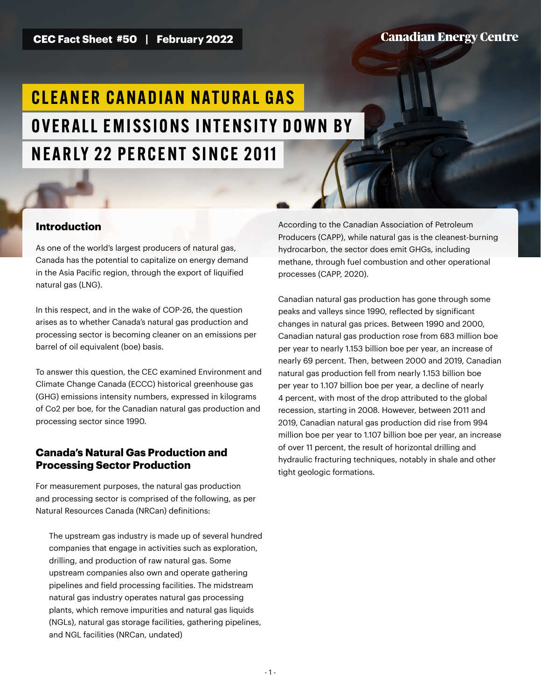**CEC Fact Sheet #50 | February 2022**

**Canadian Energy Centre** 

# CI FANFR CANADIAN NATIIRAI GAS OVERALL EMISSIONS INTENSITY DOWN BY NEARLY 22 PERCENT SINCE 2011

# **Introduction**

As one of the world's largest producers of natural gas, Canada has the potential to capitalize on energy demand in the Asia Pacific region, through the export of liquified natural gas (LNG).

In this respect, and in the wake of COP-26, the question arises as to whether Canada's natural gas production and processing sector is becoming cleaner on an emissions per barrel of oil equivalent (boe) basis.

To answer this question, the CEC examined Environment and Climate Change Canada (ECCC) historical greenhouse gas (GHG) emissions intensity numbers, expressed in kilograms of Co2 per boe, for the Canadian natural gas production and processing sector since 1990.

# **Canada's Natural Gas Production and Processing Sector Production**

For measurement purposes, the natural gas production and processing sector is comprised of the following, as per Natural Resources Canada (NRCan) definitions:

The upstream gas industry is made up of several hundred companies that engage in activities such as exploration, drilling, and production of raw natural gas. Some upstream companies also own and operate gathering pipelines and field processing facilities. The midstream natural gas industry operates natural gas processing plants, which remove impurities and natural gas liquids (NGLs), natural gas storage facilities, gathering pipelines, and NGL facilities (NRCan, undated)

According to the Canadian Association of Petroleum Producers (CAPP), while natural gas is the cleanest-burning hydrocarbon, the sector does emit GHGs, including methane, through fuel combustion and other operational processes (CAPP, 2020).

Canadian natural gas production has gone through some peaks and valleys since 1990, reflected by significant changes in natural gas prices. Between 1990 and 2000, Canadian natural gas production rose from 683 million boe per year to nearly 1.153 billion boe per year, an increase of nearly 69 percent. Then, between 2000 and 2019, Canadian natural gas production fell from nearly 1.153 billion boe per year to 1.107 billion boe per year, a decline of nearly 4 percent, with most of the drop attributed to the global recession, starting in 2008. However, between 2011 and 2019, Canadian natural gas production did rise from 994 million boe per year to 1.107 billion boe per year, an increase of over 11 percent, the result of horizontal drilling and hydraulic fracturing techniques, notably in shale and other tight geologic formations.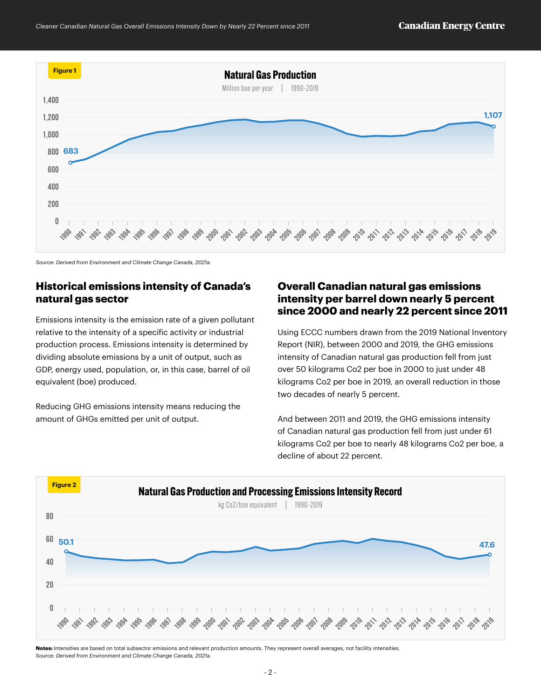

*Source: Derived from Environment and Climate Change Canada, 2021a.*

# **Historical emissions intensity of Canada's natural gas sector**

Emissions intensity is the emission rate of a given pollutant relative to the intensity of a specific activity or industrial production process. Emissions intensity is determined by dividing absolute emissions by a unit of output, such as GDP, energy used, population, or, in this case, barrel of oil equivalent (boe) produced.

Reducing GHG emissions intensity means reducing the amount of GHGs emitted per unit of output.

# **Overall Canadian natural gas emissions intensity per barrel down nearly 5 percent since 2000 and nearly 22 percent since 2011**

Using ECCC numbers drawn from the 2019 National Inventory Report (NIR), between 2000 and 2019, the GHG emissions intensity of Canadian natural gas production fell from just over 50 kilograms Co2 per boe in 2000 to just under 48 kilograms Co2 per boe in 2019, an overall reduction in those two decades of nearly 5 percent.

And between 2011 and 2019, the GHG emissions intensity of Canadian natural gas production fell from just under 61 kilograms Co2 per boe to nearly 48 kilograms Co2 per boe, a decline of about 22 percent.



**Notes:** Intensities are based on total subsector emissions and relevant production amounts. They represent overall averages, not facility intensities. *Source: Derived from Environment and Climate Change Canada, 2021a.*